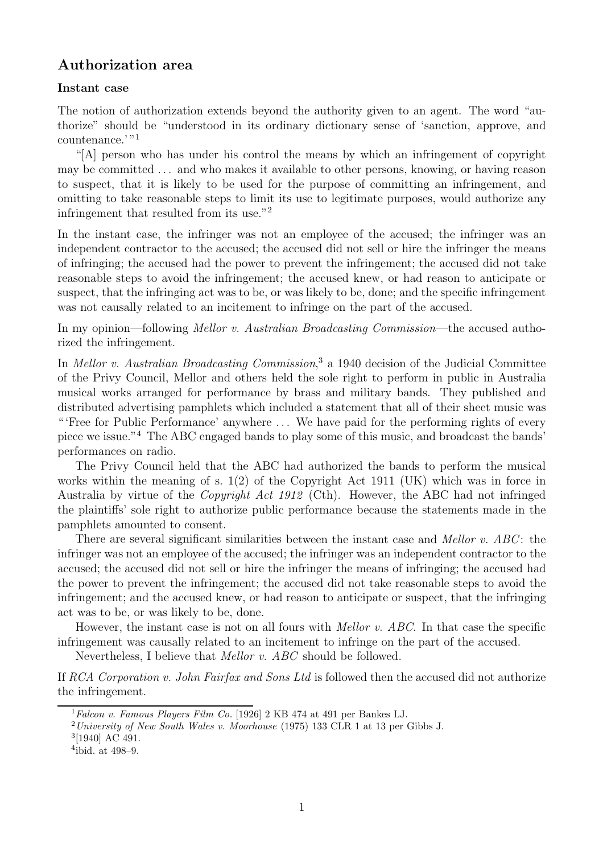# **Authorization area**

#### **Instant case**

The notion of authorization extends beyond the authority given to an agent. The word "authorize" should be "understood in its ordinary dictionary sense of 'sanction, approve, and countenance.<sup>'"1</sup>

"[A] person who has under his control the means by which an infringement of copyright may be committed . . . and who makes it available to other persons, knowing, or having reason to suspect, that it is likely to be used for the purpose of committing an infringement, and omitting to take reasonable steps to limit its use to legitimate purposes, would authorize any infringement that resulted from its use."<sup>2</sup>

In the instant case, the infringer was not an employee of the accused; the infringer was an independent contractor to the accused; the accused did not sell or hire the infringer the means of infringing; the accused had the power to prevent the infringement; the accused did not take reasonable steps to avoid the infringement; the accused knew, or had reason to anticipate or suspect, that the infringing act was to be, or was likely to be, done; and the specific infringement was not causally related to an incitement to infringe on the part of the accused.

In my opinion—following Mellor v. Australian Broadcasting Commission—the accused authorized the infringement.

In *Mellor v. Australian Broadcasting Commission*,<sup>3</sup> a 1940 decision of the Judicial Committee of the Privy Council, Mellor and others held the sole right to perform in public in Australia musical works arranged for performance by brass and military bands. They published and distributed advertising pamphlets which included a statement that all of their sheet music was " 'Free for Public Performance' anywhere . . . We have paid for the performing rights of every piece we issue."<sup>4</sup> The ABC engaged bands to play some of this music, and broadcast the bands' performances on radio.

The Privy Council held that the ABC had authorized the bands to perform the musical works within the meaning of s. 1(2) of the Copyright Act 1911 (UK) which was in force in Australia by virtue of the Copyright Act 1912 (Cth). However, the ABC had not infringed the plaintiffs' sole right to authorize public performance because the statements made in the pamphlets amounted to consent.

There are several significant similarities between the instant case and *Mellor v. ABC*: the infringer was not an employee of the accused; the infringer was an independent contractor to the accused; the accused did not sell or hire the infringer the means of infringing; the accused had the power to prevent the infringement; the accused did not take reasonable steps to avoid the infringement; and the accused knew, or had reason to anticipate or suspect, that the infringing act was to be, or was likely to be, done.

However, the instant case is not on all fours with Mellor v. ABC. In that case the specific infringement was causally related to an incitement to infringe on the part of the accused.

Nevertheless, I believe that Mellor v. ABC should be followed.

If RCA Corporation v. John Fairfax and Sons Ltd is followed then the accused did not authorize the infringement.

 $1$ Falcon v. Famous Players Film Co. [1926] 2 KB 474 at 491 per Bankes LJ.

<sup>&</sup>lt;sup>2</sup> University of New South Wales v. Moorhouse (1975) 133 CLR 1 at 13 per Gibbs J.

<sup>3</sup>[1940] AC 491.

 $4$ ibid. at 498–9.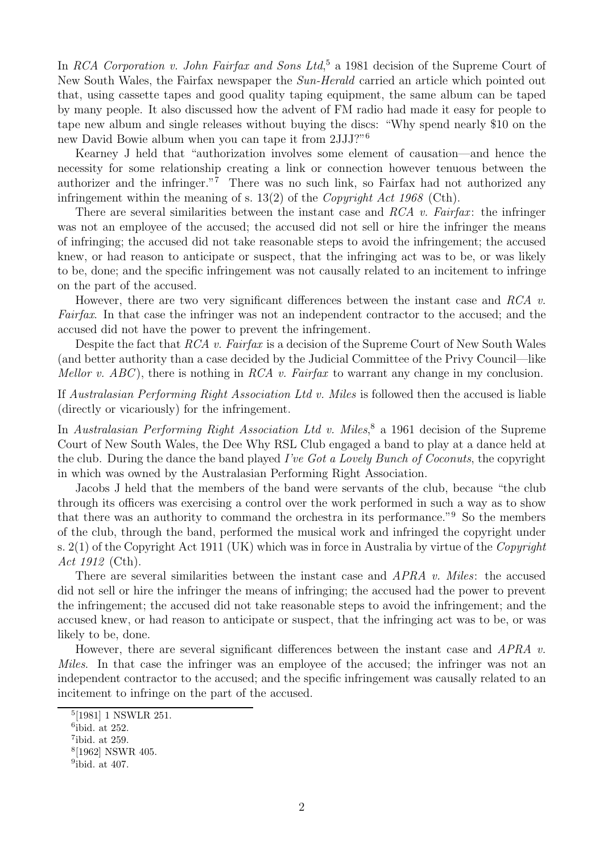In RCA Corporation v. John Fairfax and Sons Ltd,<sup>5</sup> a 1981 decision of the Supreme Court of New South Wales, the Fairfax newspaper the Sun-Herald carried an article which pointed out that, using cassette tapes and good quality taping equipment, the same album can be taped by many people. It also discussed how the advent of FM radio had made it easy for people to tape new album and single releases without buying the discs: "Why spend nearly \$10 on the new David Bowie album when you can tape it from 2JJJ?"<sup>6</sup>

Kearney J held that "authorization involves some element of causation—and hence the necessity for some relationship creating a link or connection however tenuous between the authorizer and the infringer."<sup>7</sup> There was no such link, so Fairfax had not authorized any infringement within the meaning of s. 13(2) of the *Copyright Act 1968* (Cth).

There are several similarities between the instant case and RCA v. Fairfax: the infringer was not an employee of the accused; the accused did not sell or hire the infringer the means of infringing; the accused did not take reasonable steps to avoid the infringement; the accused knew, or had reason to anticipate or suspect, that the infringing act was to be, or was likely to be, done; and the specific infringement was not causally related to an incitement to infringe on the part of the accused.

However, there are two very significant differences between the instant case and RCA  $v$ . Fairfax. In that case the infringer was not an independent contractor to the accused; and the accused did not have the power to prevent the infringement.

Despite the fact that RCA v. Fairfax is a decision of the Supreme Court of New South Wales (and better authority than a case decided by the Judicial Committee of the Privy Council—like Mellor v. ABC), there is nothing in RCA v. Fairfax to warrant any change in my conclusion.

If Australasian Performing Right Association Ltd v. Miles is followed then the accused is liable (directly or vicariously) for the infringement.

In Australasian Performing Right Association Ltd v. Miles,<sup>8</sup> a 1961 decision of the Supreme Court of New South Wales, the Dee Why RSL Club engaged a band to play at a dance held at the club. During the dance the band played I've Got a Lovely Bunch of Coconuts, the copyright in which was owned by the Australasian Performing Right Association.

Jacobs J held that the members of the band were servants of the club, because "the club through its officers was exercising a control over the work performed in such a way as to show that there was an authority to command the orchestra in its performance."<sup>9</sup> So the members of the club, through the band, performed the musical work and infringed the copyright under s.  $2(1)$  of the Copyright Act 1911 (UK) which was in force in Australia by virtue of the Copyright Act 1912 (Cth).

There are several similarities between the instant case and *APRA v. Miles*: the accused did not sell or hire the infringer the means of infringing; the accused had the power to prevent the infringement; the accused did not take reasonable steps to avoid the infringement; and the accused knew, or had reason to anticipate or suspect, that the infringing act was to be, or was likely to be, done.

However, there are several significant differences between the instant case and APRA v. Miles. In that case the infringer was an employee of the accused; the infringer was not an independent contractor to the accused; and the specific infringement was causally related to an incitement to infringe on the part of the accused.

<sup>5</sup>[1981] 1 NSWLR 251.

 $6$ ibid. at 252.

<sup>7</sup>ibid. at 259.

<sup>8</sup>[1962] NSWR 405.

<sup>&</sup>lt;sup>9</sup>ibid. at 407.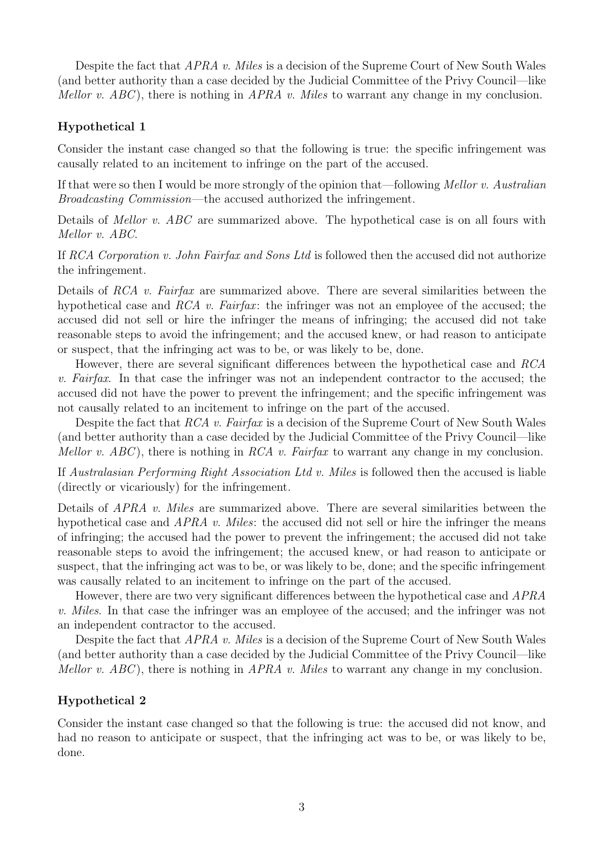Despite the fact that APRA v. Miles is a decision of the Supreme Court of New South Wales (and better authority than a case decided by the Judicial Committee of the Privy Council—like Mellor v.  $ABC$ ), there is nothing in  $APRA$  v. Miles to warrant any change in my conclusion.

### **Hypothetical 1**

Consider the instant case changed so that the following is true: the specific infringement was causally related to an incitement to infringe on the part of the accused.

If that were so then I would be more strongly of the opinion that—following Mellor v. Australian Broadcasting Commission—the accused authorized the infringement.

Details of *Mellor v. ABC* are summarized above. The hypothetical case is on all fours with Mellor v. ABC.

If RCA Corporation v. John Fairfax and Sons Ltd is followed then the accused did not authorize the infringement.

Details of RCA v. Fairfax are summarized above. There are several similarities between the hypothetical case and RCA v. Fairfax: the infringer was not an employee of the accused; the accused did not sell or hire the infringer the means of infringing; the accused did not take reasonable steps to avoid the infringement; and the accused knew, or had reason to anticipate or suspect, that the infringing act was to be, or was likely to be, done.

However, there are several significant differences between the hypothetical case and RCA v. Fairfax. In that case the infringer was not an independent contractor to the accused; the accused did not have the power to prevent the infringement; and the specific infringement was not causally related to an incitement to infringe on the part of the accused.

Despite the fact that RCA v. Fairfax is a decision of the Supreme Court of New South Wales (and better authority than a case decided by the Judicial Committee of the Privy Council—like Mellor v.  $ABC$ ), there is nothing in RCA v. Fairfax to warrant any change in my conclusion.

If Australasian Performing Right Association Ltd v. Miles is followed then the accused is liable (directly or vicariously) for the infringement.

Details of *APRA v. Miles* are summarized above. There are several similarities between the hypothetical case and  $APRA$  v. Miles: the accused did not sell or hire the infringer the means of infringing; the accused had the power to prevent the infringement; the accused did not take reasonable steps to avoid the infringement; the accused knew, or had reason to anticipate or suspect, that the infringing act was to be, or was likely to be, done; and the specific infringement was causally related to an incitement to infringe on the part of the accused.

However, there are two very significant differences between the hypothetical case and APRA v. Miles. In that case the infringer was an employee of the accused; and the infringer was not an independent contractor to the accused.

Despite the fact that *APRA v. Miles* is a decision of the Supreme Court of New South Wales (and better authority than a case decided by the Judicial Committee of the Privy Council—like Mellor v.  $ABC$ ), there is nothing in  $APRA$  v. Miles to warrant any change in my conclusion.

## **Hypothetical 2**

Consider the instant case changed so that the following is true: the accused did not know, and had no reason to anticipate or suspect, that the infringing act was to be, or was likely to be, done.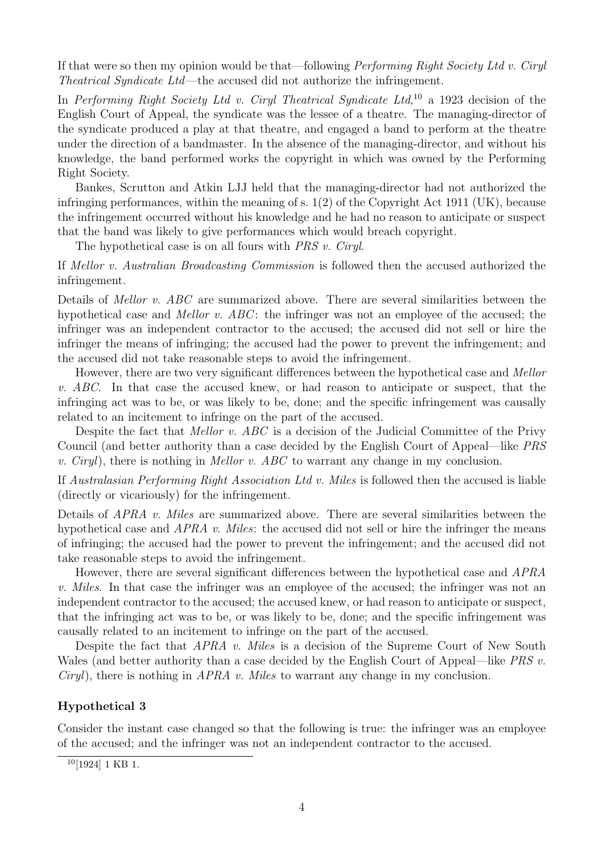If that were so then my opinion would be that—following *Performing Right Society Ltd v. Ciryl* Theatrical Syndicate Ltd—the accused did not authorize the infringement.

In Performing Right Society Ltd v. Ciryl Theatrical Syndicate Ltd,<sup>10</sup> a 1923 decision of the English Court of Appeal, the syndicate was the lessee of a theatre. The managing-director of the syndicate produced a play at that theatre, and engaged a band to perform at the theatre under the direction of a bandmaster. In the absence of the managing-director, and without his knowledge, the band performed works the copyright in which was owned by the Performing Right Society.

Bankes, Scrutton and Atkin LJJ held that the managing-director had not authorized the infringing performances, within the meaning of s.  $1(2)$  of the Copyright Act 1911 (UK), because the infringement occurred without his knowledge and he had no reason to anticipate or suspect that the band was likely to give performances which would breach copyright.

The hypothetical case is on all fours with *PRS v. Ciryl.* 

If Mellor v. Australian Broadcasting Commission is followed then the accused authorized the infringement.

Details of *Mellor v. ABC* are summarized above. There are several similarities between the hypothetical case and *Mellor v. ABC*: the infringer was not an employee of the accused; the infringer was an independent contractor to the accused; the accused did not sell or hire the infringer the means of infringing; the accused had the power to prevent the infringement; and the accused did not take reasonable steps to avoid the infringement.

However, there are two very significant differences between the hypothetical case and Mellor v. ABC. In that case the accused knew, or had reason to anticipate or suspect, that the infringing act was to be, or was likely to be, done; and the specific infringement was causally related to an incitement to infringe on the part of the accused.

Despite the fact that *Mellor v. ABC* is a decision of the Judicial Committee of the Privy Council (and better authority than a case decided by the English Court of Appeal—like PRS v. Ciryl), there is nothing in Mellor v. ABC to warrant any change in my conclusion.

If Australasian Performing Right Association Ltd v. Miles is followed then the accused is liable (directly or vicariously) for the infringement.

Details of *APRA v. Miles* are summarized above. There are several similarities between the hypothetical case and  $APRA$  v. Miles: the accused did not sell or hire the infringer the means of infringing; the accused had the power to prevent the infringement; and the accused did not take reasonable steps to avoid the infringement.

However, there are several significant differences between the hypothetical case and APRA v. Miles. In that case the infringer was an employee of the accused; the infringer was not an independent contractor to the accused; the accused knew, or had reason to anticipate or suspect, that the infringing act was to be, or was likely to be, done; and the specific infringement was causally related to an incitement to infringe on the part of the accused.

Despite the fact that *APRA v. Miles* is a decision of the Supreme Court of New South Wales (and better authority than a case decided by the English Court of Appeal—like *PRS v.* Ciryl), there is nothing in APRA v. Miles to warrant any change in my conclusion.

#### **Hypothetical 3**

Consider the instant case changed so that the following is true: the infringer was an employee of the accused; and the infringer was not an independent contractor to the accused.

<sup>10</sup>[1924] 1 KB 1.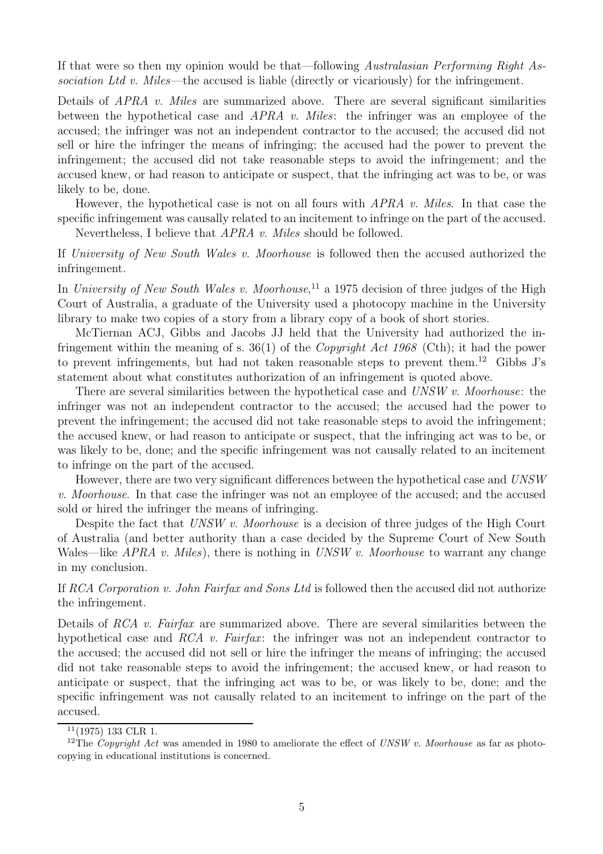If that were so then my opinion would be that—following Australasian Performing Right Association Ltd v. Miles—the accused is liable (directly or vicariously) for the infringement.

Details of *APRA v. Miles* are summarized above. There are several significant similarities between the hypothetical case and APRA v. Miles: the infringer was an employee of the accused; the infringer was not an independent contractor to the accused; the accused did not sell or hire the infringer the means of infringing; the accused had the power to prevent the infringement; the accused did not take reasonable steps to avoid the infringement; and the accused knew, or had reason to anticipate or suspect, that the infringing act was to be, or was likely to be, done.

However, the hypothetical case is not on all fours with *APRA v. Miles*. In that case the specific infringement was causally related to an incitement to infringe on the part of the accused.

Nevertheless, I believe that APRA v. Miles should be followed.

If University of New South Wales v. Moorhouse is followed then the accused authorized the infringement.

In University of New South Wales v. Moorhouse,<sup>11</sup> a 1975 decision of three judges of the High Court of Australia, a graduate of the University used a photocopy machine in the University library to make two copies of a story from a library copy of a book of short stories.

McTiernan ACJ, Gibbs and Jacobs JJ held that the University had authorized the infringement within the meaning of s. 36(1) of the Copyright Act 1968 (Cth); it had the power to prevent infringements, but had not taken reasonable steps to prevent them.<sup>12</sup> Gibbs J's statement about what constitutes authorization of an infringement is quoted above.

There are several similarities between the hypothetical case and UNSW v. Moorhouse: the infringer was not an independent contractor to the accused; the accused had the power to prevent the infringement; the accused did not take reasonable steps to avoid the infringement; the accused knew, or had reason to anticipate or suspect, that the infringing act was to be, or was likely to be, done; and the specific infringement was not causally related to an incitement to infringe on the part of the accused.

However, there are two very significant differences between the hypothetical case and UNSW v. Moorhouse. In that case the infringer was not an employee of the accused; and the accused sold or hired the infringer the means of infringing.

Despite the fact that UNSW v. Moorhouse is a decision of three judges of the High Court of Australia (and better authority than a case decided by the Supreme Court of New South Wales—like  $APRA$  v. Miles), there is nothing in UNSW v. Moorhouse to warrant any change in my conclusion.

If RCA Corporation v. John Fairfax and Sons Ltd is followed then the accused did not authorize the infringement.

Details of RCA v. Fairfax are summarized above. There are several similarities between the hypothetical case and  $RCA$  v. Fairfax: the infringer was not an independent contractor to the accused; the accused did not sell or hire the infringer the means of infringing; the accused did not take reasonable steps to avoid the infringement; the accused knew, or had reason to anticipate or suspect, that the infringing act was to be, or was likely to be, done; and the specific infringement was not causally related to an incitement to infringe on the part of the accused.

 $11(1975)$  133 CLR 1.

<sup>&</sup>lt;sup>12</sup>The *Copyright Act* was amended in 1980 to ameliorate the effect of UNSW v. Moorhouse as far as photocopying in educational institutions is concerned.